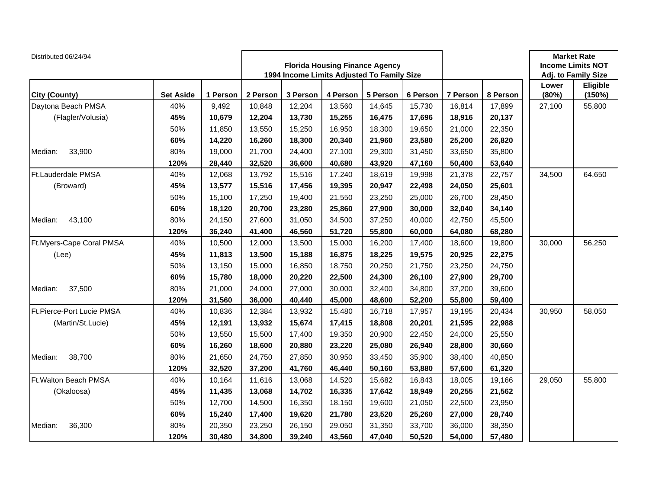| Distributed 06/24/94      |                  |          |          | <b>Florida Housing Finance Agency</b><br>1994 Income Limits Adjusted To Family Size |          |          |          |          | <b>Market Rate</b><br><b>Income Limits NOT</b><br>Adj. to Family Size |                |                    |
|---------------------------|------------------|----------|----------|-------------------------------------------------------------------------------------|----------|----------|----------|----------|-----------------------------------------------------------------------|----------------|--------------------|
| City (County)             | <b>Set Aside</b> | 1 Person | 2 Person | 3 Person                                                                            | 4 Person | 5 Person | 6 Person | 7 Person | 8 Person                                                              | Lower<br>(80%) | Eligible<br>(150%) |
| Daytona Beach PMSA        | 40%              | 9,492    | 10,848   | 12,204                                                                              | 13,560   | 14,645   | 15,730   | 16,814   | 17,899                                                                | 27,100         | 55,800             |
| (Flagler/Volusia)         | 45%              | 10,679   | 12,204   | 13,730                                                                              | 15,255   | 16,475   | 17,696   | 18,916   | 20,137                                                                |                |                    |
|                           | 50%              | 11,850   | 13,550   | 15,250                                                                              | 16,950   | 18,300   | 19,650   | 21,000   | 22,350                                                                |                |                    |
|                           | 60%              | 14,220   | 16,260   | 18,300                                                                              | 20,340   | 21,960   | 23,580   | 25,200   | 26,820                                                                |                |                    |
| 33,900<br>Median:         | 80%              | 19,000   | 21,700   | 24,400                                                                              | 27,100   | 29,300   | 31,450   | 33,650   | 35,800                                                                |                |                    |
|                           | 120%             | 28,440   | 32,520   | 36,600                                                                              | 40,680   | 43,920   | 47,160   | 50,400   | 53,640                                                                |                |                    |
| Ft.Lauderdale PMSA        | 40%              | 12,068   | 13,792   | 15,516                                                                              | 17,240   | 18,619   | 19,998   | 21,378   | 22,757                                                                | 34,500         | 64,650             |
| (Broward)                 | 45%              | 13,577   | 15,516   | 17,456                                                                              | 19,395   | 20,947   | 22,498   | 24,050   | 25,601                                                                |                |                    |
|                           | 50%              | 15,100   | 17,250   | 19,400                                                                              | 21,550   | 23,250   | 25,000   | 26,700   | 28,450                                                                |                |                    |
|                           | 60%              | 18,120   | 20,700   | 23,280                                                                              | 25,860   | 27,900   | 30,000   | 32,040   | 34,140                                                                |                |                    |
| 43,100<br>Median:         | 80%              | 24,150   | 27,600   | 31,050                                                                              | 34,500   | 37,250   | 40,000   | 42,750   | 45,500                                                                |                |                    |
|                           | 120%             | 36,240   | 41,400   | 46,560                                                                              | 51,720   | 55,800   | 60,000   | 64,080   | 68,280                                                                |                |                    |
| Ft.Myers-Cape Coral PMSA  | 40%              | 10,500   | 12,000   | 13,500                                                                              | 15,000   | 16,200   | 17,400   | 18,600   | 19,800                                                                | 30,000         | 56,250             |
| (Lee)                     | 45%              | 11,813   | 13,500   | 15,188                                                                              | 16,875   | 18,225   | 19,575   | 20,925   | 22,275                                                                |                |                    |
|                           | 50%              | 13,150   | 15,000   | 16,850                                                                              | 18,750   | 20,250   | 21,750   | 23,250   | 24,750                                                                |                |                    |
|                           | 60%              | 15,780   | 18,000   | 20,220                                                                              | 22,500   | 24,300   | 26,100   | 27,900   | 29,700                                                                |                |                    |
| 37,500<br>Median:         | 80%              | 21,000   | 24,000   | 27,000                                                                              | 30,000   | 32,400   | 34,800   | 37,200   | 39,600                                                                |                |                    |
|                           | 120%             | 31,560   | 36,000   | 40,440                                                                              | 45,000   | 48,600   | 52,200   | 55,800   | 59,400                                                                |                |                    |
| Ft.Pierce-Port Lucie PMSA | 40%              | 10,836   | 12,384   | 13,932                                                                              | 15,480   | 16,718   | 17,957   | 19,195   | 20,434                                                                | 30,950         | 58,050             |
| (Martin/St.Lucie)         | 45%              | 12,191   | 13,932   | 15,674                                                                              | 17,415   | 18,808   | 20,201   | 21,595   | 22,988                                                                |                |                    |
|                           | 50%              | 13,550   | 15,500   | 17,400                                                                              | 19,350   | 20,900   | 22,450   | 24,000   | 25,550                                                                |                |                    |
|                           | 60%              | 16,260   | 18,600   | 20,880                                                                              | 23,220   | 25,080   | 26,940   | 28,800   | 30,660                                                                |                |                    |
| 38,700<br>Median:         | 80%              | 21,650   | 24,750   | 27,850                                                                              | 30,950   | 33,450   | 35,900   | 38,400   | 40,850                                                                |                |                    |
|                           | 120%             | 32,520   | 37,200   | 41,760                                                                              | 46,440   | 50,160   | 53,880   | 57,600   | 61,320                                                                |                |                    |
| Ft. Walton Beach PMSA     | 40%              | 10,164   | 11,616   | 13,068                                                                              | 14,520   | 15,682   | 16,843   | 18,005   | 19,166                                                                | 29,050         | 55,800             |
| (Okaloosa)                | 45%              | 11,435   | 13,068   | 14,702                                                                              | 16,335   | 17,642   | 18,949   | 20,255   | 21,562                                                                |                |                    |
|                           | 50%              | 12,700   | 14,500   | 16,350                                                                              | 18,150   | 19,600   | 21,050   | 22,500   | 23,950                                                                |                |                    |
|                           | 60%              | 15,240   | 17,400   | 19,620                                                                              | 21,780   | 23,520   | 25,260   | 27,000   | 28,740                                                                |                |                    |
| 36,300<br>Median:         | 80%              | 20,350   | 23,250   | 26,150                                                                              | 29,050   | 31,350   | 33,700   | 36,000   | 38,350                                                                |                |                    |
|                           | 120%             | 30,480   | 34,800   | 39,240                                                                              | 43,560   | 47,040   | 50,520   | 54,000   | 57,480                                                                |                |                    |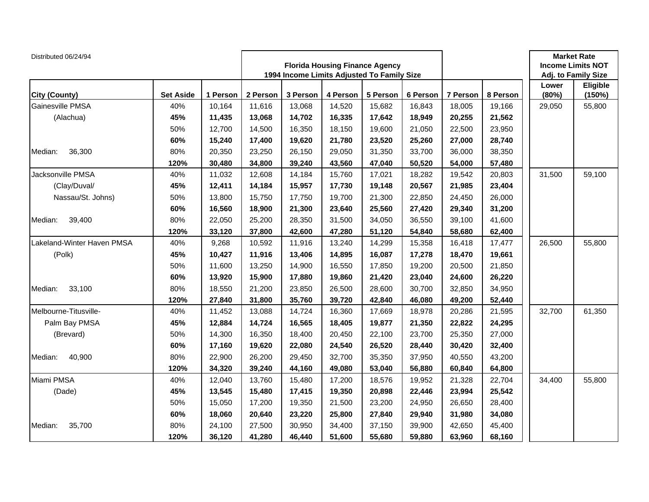| Distributed 06/24/94       |                  |          |          | <b>Florida Housing Finance Agency</b><br>1994 Income Limits Adjusted To Family Size |          |          |          |          | <b>Market Rate</b><br><b>Income Limits NOT</b><br>Adj. to Family Size |                |                    |
|----------------------------|------------------|----------|----------|-------------------------------------------------------------------------------------|----------|----------|----------|----------|-----------------------------------------------------------------------|----------------|--------------------|
| City (County)              | <b>Set Aside</b> | 1 Person | 2 Person | 3 Person                                                                            | 4 Person | 5 Person | 6 Person | 7 Person | 8 Person                                                              | Lower<br>(80%) | Eligible<br>(150%) |
| Gainesville PMSA           | 40%              | 10,164   | 11,616   | 13,068                                                                              | 14,520   | 15,682   | 16,843   | 18,005   | 19,166                                                                | 29,050         | 55,800             |
| (Alachua)                  | 45%              | 11,435   | 13,068   | 14,702                                                                              | 16,335   | 17,642   | 18,949   | 20,255   | 21,562                                                                |                |                    |
|                            | 50%              | 12,700   | 14,500   | 16,350                                                                              | 18,150   | 19,600   | 21,050   | 22,500   | 23,950                                                                |                |                    |
|                            | 60%              | 15,240   | 17,400   | 19,620                                                                              | 21,780   | 23,520   | 25,260   | 27,000   | 28,740                                                                |                |                    |
| Median:<br>36,300          | 80%              | 20,350   | 23,250   | 26,150                                                                              | 29,050   | 31,350   | 33,700   | 36,000   | 38,350                                                                |                |                    |
|                            | 120%             | 30,480   | 34,800   | 39,240                                                                              | 43,560   | 47,040   | 50,520   | 54,000   | 57,480                                                                |                |                    |
| Jacksonville PMSA          | 40%              | 11,032   | 12,608   | 14,184                                                                              | 15,760   | 17,021   | 18,282   | 19,542   | 20,803                                                                | 31,500         | 59,100             |
| (Clay/Duval/               | 45%              | 12,411   | 14,184   | 15,957                                                                              | 17,730   | 19,148   | 20,567   | 21,985   | 23,404                                                                |                |                    |
| Nassau/St. Johns)          | 50%              | 13,800   | 15,750   | 17,750                                                                              | 19,700   | 21,300   | 22,850   | 24,450   | 26,000                                                                |                |                    |
|                            | 60%              | 16,560   | 18,900   | 21,300                                                                              | 23,640   | 25,560   | 27,420   | 29,340   | 31,200                                                                |                |                    |
| 39,400<br>Median:          | 80%              | 22,050   | 25,200   | 28,350                                                                              | 31,500   | 34,050   | 36,550   | 39,100   | 41,600                                                                |                |                    |
|                            | 120%             | 33,120   | 37,800   | 42,600                                                                              | 47,280   | 51,120   | 54,840   | 58,680   | 62,400                                                                |                |                    |
| Lakeland-Winter Haven PMSA | 40%              | 9,268    | 10,592   | 11,916                                                                              | 13,240   | 14,299   | 15,358   | 16,418   | 17,477                                                                | 26,500         | 55,800             |
| (Polk)                     | 45%              | 10,427   | 11,916   | 13,406                                                                              | 14,895   | 16,087   | 17,278   | 18,470   | 19,661                                                                |                |                    |
|                            | 50%              | 11,600   | 13,250   | 14,900                                                                              | 16,550   | 17,850   | 19,200   | 20,500   | 21,850                                                                |                |                    |
|                            | 60%              | 13,920   | 15,900   | 17,880                                                                              | 19,860   | 21,420   | 23,040   | 24,600   | 26,220                                                                |                |                    |
| Median:<br>33,100          | 80%              | 18,550   | 21,200   | 23,850                                                                              | 26,500   | 28,600   | 30,700   | 32,850   | 34,950                                                                |                |                    |
|                            | 120%             | 27,840   | 31,800   | 35,760                                                                              | 39,720   | 42,840   | 46,080   | 49,200   | 52,440                                                                |                |                    |
| Melbourne-Titusville-      | 40%              | 11,452   | 13,088   | 14,724                                                                              | 16,360   | 17,669   | 18,978   | 20,286   | 21,595                                                                | 32,700         | 61,350             |
| Palm Bay PMSA              | 45%              | 12,884   | 14,724   | 16,565                                                                              | 18,405   | 19,877   | 21,350   | 22,822   | 24,295                                                                |                |                    |
| (Brevard)                  | 50%              | 14,300   | 16,350   | 18,400                                                                              | 20,450   | 22,100   | 23,700   | 25,350   | 27,000                                                                |                |                    |
|                            | 60%              | 17,160   | 19,620   | 22,080                                                                              | 24,540   | 26,520   | 28,440   | 30,420   | 32,400                                                                |                |                    |
| 40,900<br>Median:          | 80%              | 22,900   | 26,200   | 29,450                                                                              | 32,700   | 35,350   | 37,950   | 40,550   | 43,200                                                                |                |                    |
|                            | 120%             | 34,320   | 39,240   | 44,160                                                                              | 49,080   | 53,040   | 56,880   | 60,840   | 64,800                                                                |                |                    |
| Miami PMSA                 | 40%              | 12,040   | 13,760   | 15,480                                                                              | 17,200   | 18,576   | 19,952   | 21,328   | 22,704                                                                | 34,400         | 55,800             |
| (Dade)                     | 45%              | 13,545   | 15,480   | 17,415                                                                              | 19,350   | 20,898   | 22,446   | 23,994   | 25,542                                                                |                |                    |
|                            | 50%              | 15,050   | 17,200   | 19,350                                                                              | 21,500   | 23,200   | 24,950   | 26,650   | 28,400                                                                |                |                    |
|                            | 60%              | 18,060   | 20,640   | 23,220                                                                              | 25,800   | 27,840   | 29,940   | 31,980   | 34,080                                                                |                |                    |
| 35,700<br>Median:          | 80%              | 24,100   | 27,500   | 30,950                                                                              | 34,400   | 37,150   | 39,900   | 42,650   | 45,400                                                                |                |                    |
|                            | 120%             | 36,120   | 41,280   | 46,440                                                                              | 51,600   | 55,680   | 59,880   | 63,960   | 68,160                                                                |                |                    |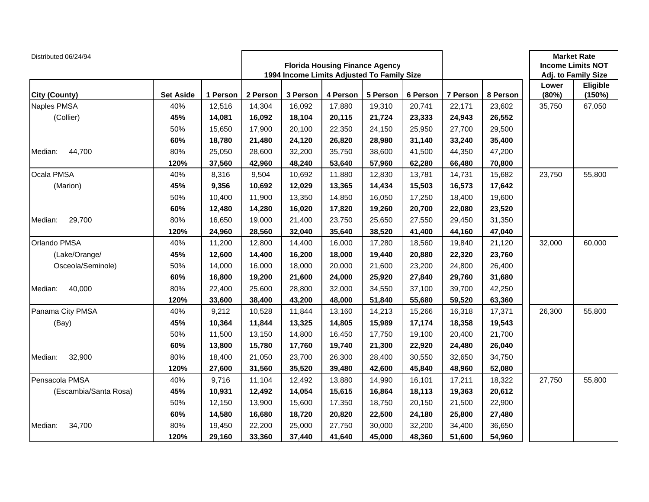| Distributed 06/24/94  |                  |          |          | <b>Florida Housing Finance Agency</b><br>1994 Income Limits Adjusted To Family Size |          |          |          |          | <b>Market Rate</b><br><b>Income Limits NOT</b><br>Adj. to Family Size |                |                    |
|-----------------------|------------------|----------|----------|-------------------------------------------------------------------------------------|----------|----------|----------|----------|-----------------------------------------------------------------------|----------------|--------------------|
| City (County)         | <b>Set Aside</b> | 1 Person | 2 Person | 3 Person                                                                            | 4 Person | 5 Person | 6 Person | 7 Person | 8 Person                                                              | Lower<br>(80%) | Eligible<br>(150%) |
| Naples PMSA           | 40%              | 12,516   | 14,304   | 16,092                                                                              | 17,880   | 19,310   | 20,741   | 22,171   | 23,602                                                                | 35,750         | 67,050             |
| (Collier)             | 45%              | 14,081   | 16,092   | 18,104                                                                              | 20,115   | 21,724   | 23,333   | 24,943   | 26,552                                                                |                |                    |
|                       | 50%              | 15,650   | 17,900   | 20,100                                                                              | 22,350   | 24,150   | 25,950   | 27,700   | 29,500                                                                |                |                    |
|                       | 60%              | 18,780   | 21,480   | 24,120                                                                              | 26,820   | 28,980   | 31,140   | 33,240   | 35,400                                                                |                |                    |
| Median:<br>44,700     | 80%              | 25,050   | 28,600   | 32,200                                                                              | 35,750   | 38,600   | 41,500   | 44,350   | 47,200                                                                |                |                    |
|                       | 120%             | 37,560   | 42,960   | 48,240                                                                              | 53,640   | 57,960   | 62,280   | 66,480   | 70,800                                                                |                |                    |
| Ocala PMSA            | 40%              | 8,316    | 9,504    | 10,692                                                                              | 11,880   | 12,830   | 13,781   | 14,731   | 15,682                                                                | 23,750         | 55,800             |
| (Marion)              | 45%              | 9,356    | 10,692   | 12,029                                                                              | 13,365   | 14,434   | 15,503   | 16,573   | 17,642                                                                |                |                    |
|                       | 50%              | 10,400   | 11,900   | 13,350                                                                              | 14,850   | 16,050   | 17,250   | 18,400   | 19,600                                                                |                |                    |
|                       | 60%              | 12,480   | 14,280   | 16,020                                                                              | 17,820   | 19,260   | 20,700   | 22,080   | 23,520                                                                |                |                    |
| 29,700<br>Median:     | 80%              | 16,650   | 19,000   | 21,400                                                                              | 23,750   | 25,650   | 27,550   | 29,450   | 31,350                                                                |                |                    |
|                       | 120%             | 24,960   | 28,560   | 32,040                                                                              | 35,640   | 38,520   | 41,400   | 44,160   | 47,040                                                                |                |                    |
| Orlando PMSA          | 40%              | 11,200   | 12,800   | 14,400                                                                              | 16,000   | 17,280   | 18,560   | 19,840   | 21,120                                                                | 32,000         | 60,000             |
| (Lake/Orange/         | 45%              | 12,600   | 14,400   | 16,200                                                                              | 18,000   | 19,440   | 20,880   | 22,320   | 23,760                                                                |                |                    |
| Osceola/Seminole)     | 50%              | 14,000   | 16,000   | 18,000                                                                              | 20,000   | 21,600   | 23,200   | 24,800   | 26,400                                                                |                |                    |
|                       | 60%              | 16,800   | 19,200   | 21,600                                                                              | 24,000   | 25,920   | 27,840   | 29,760   | 31,680                                                                |                |                    |
| Median:<br>40,000     | 80%              | 22,400   | 25,600   | 28,800                                                                              | 32,000   | 34,550   | 37,100   | 39,700   | 42,250                                                                |                |                    |
|                       | 120%             | 33,600   | 38,400   | 43,200                                                                              | 48,000   | 51,840   | 55,680   | 59,520   | 63,360                                                                |                |                    |
| Panama City PMSA      | 40%              | 9,212    | 10,528   | 11,844                                                                              | 13,160   | 14,213   | 15,266   | 16,318   | 17,371                                                                | 26,300         | 55,800             |
| (Bay)                 | 45%              | 10,364   | 11,844   | 13,325                                                                              | 14,805   | 15,989   | 17,174   | 18,358   | 19,543                                                                |                |                    |
|                       | 50%              | 11,500   | 13,150   | 14,800                                                                              | 16,450   | 17,750   | 19,100   | 20,400   | 21,700                                                                |                |                    |
|                       | 60%              | 13,800   | 15,780   | 17,760                                                                              | 19,740   | 21,300   | 22,920   | 24,480   | 26,040                                                                |                |                    |
| 32,900<br>Median:     | 80%              | 18,400   | 21,050   | 23,700                                                                              | 26,300   | 28,400   | 30,550   | 32,650   | 34,750                                                                |                |                    |
|                       | 120%             | 27,600   | 31,560   | 35,520                                                                              | 39,480   | 42,600   | 45,840   | 48,960   | 52,080                                                                |                |                    |
| Pensacola PMSA        | 40%              | 9,716    | 11,104   | 12,492                                                                              | 13,880   | 14,990   | 16,101   | 17,211   | 18,322                                                                | 27,750         | 55,800             |
| (Escambia/Santa Rosa) | 45%              | 10,931   | 12,492   | 14,054                                                                              | 15,615   | 16,864   | 18,113   | 19,363   | 20,612                                                                |                |                    |
|                       | 50%              | 12,150   | 13,900   | 15,600                                                                              | 17,350   | 18,750   | 20,150   | 21,500   | 22,900                                                                |                |                    |
|                       | 60%              | 14,580   | 16,680   | 18,720                                                                              | 20,820   | 22,500   | 24,180   | 25,800   | 27,480                                                                |                |                    |
| 34,700<br>Median:     | 80%              | 19,450   | 22,200   | 25,000                                                                              | 27,750   | 30,000   | 32,200   | 34,400   | 36,650                                                                |                |                    |
|                       | 120%             | 29,160   | 33,360   | 37,440                                                                              | 41,640   | 45,000   | 48,360   | 51,600   | 54,960                                                                |                |                    |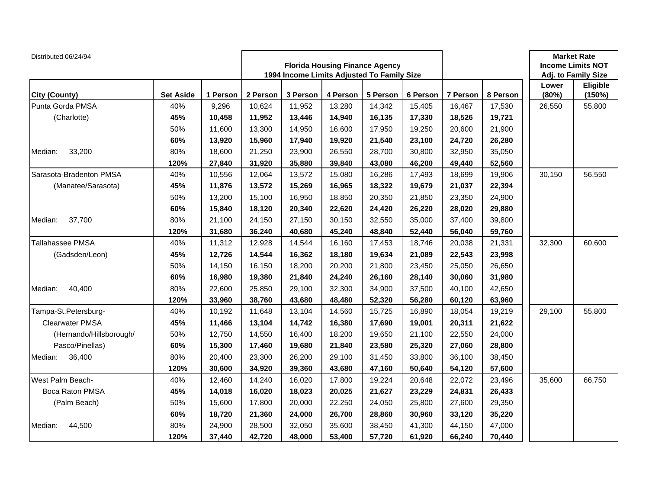| Distributed 06/24/94    |                  |          | <b>Florida Housing Finance Agency</b><br>1994 Income Limits Adjusted To Family Size |          |          |          |          |          |          | <b>Market Rate</b><br><b>Income Limits NOT</b><br>Adj. to Family Size |                    |
|-------------------------|------------------|----------|-------------------------------------------------------------------------------------|----------|----------|----------|----------|----------|----------|-----------------------------------------------------------------------|--------------------|
| City (County)           | <b>Set Aside</b> | 1 Person | 2 Person                                                                            | 3 Person | 4 Person | 5 Person | 6 Person | 7 Person | 8 Person | Lower<br>(80%)                                                        | Eligible<br>(150%) |
| Punta Gorda PMSA        | 40%              | 9,296    | 10,624                                                                              | 11,952   | 13,280   | 14,342   | 15,405   | 16,467   | 17,530   | 26,550                                                                | 55,800             |
| (Charlotte)             | 45%              | 10,458   | 11,952                                                                              | 13,446   | 14,940   | 16,135   | 17,330   | 18,526   | 19,721   |                                                                       |                    |
|                         | 50%              | 11,600   | 13,300                                                                              | 14,950   | 16,600   | 17,950   | 19,250   | 20,600   | 21,900   |                                                                       |                    |
|                         | 60%              | 13,920   | 15,960                                                                              | 17,940   | 19,920   | 21,540   | 23,100   | 24,720   | 26,280   |                                                                       |                    |
| Median:<br>33,200       | 80%              | 18,600   | 21,250                                                                              | 23,900   | 26,550   | 28,700   | 30,800   | 32,950   | 35,050   |                                                                       |                    |
|                         | 120%             | 27,840   | 31,920                                                                              | 35,880   | 39,840   | 43,080   | 46,200   | 49,440   | 52,560   |                                                                       |                    |
| Sarasota-Bradenton PMSA | 40%              | 10,556   | 12,064                                                                              | 13,572   | 15,080   | 16,286   | 17,493   | 18,699   | 19,906   | 30,150                                                                | 56,550             |
| (Manatee/Sarasota)      | 45%              | 11,876   | 13,572                                                                              | 15,269   | 16,965   | 18,322   | 19,679   | 21,037   | 22,394   |                                                                       |                    |
|                         | 50%              | 13,200   | 15,100                                                                              | 16,950   | 18,850   | 20,350   | 21,850   | 23,350   | 24,900   |                                                                       |                    |
|                         | 60%              | 15,840   | 18,120                                                                              | 20,340   | 22,620   | 24,420   | 26,220   | 28,020   | 29,880   |                                                                       |                    |
| Median:<br>37,700       | 80%              | 21,100   | 24,150                                                                              | 27,150   | 30,150   | 32,550   | 35,000   | 37,400   | 39,800   |                                                                       |                    |
|                         | 120%             | 31,680   | 36,240                                                                              | 40,680   | 45,240   | 48,840   | 52,440   | 56,040   | 59,760   |                                                                       |                    |
| Tallahassee PMSA        | 40%              | 11,312   | 12,928                                                                              | 14,544   | 16,160   | 17,453   | 18,746   | 20,038   | 21,331   | 32,300                                                                | 60,600             |
| (Gadsden/Leon)          | 45%              | 12,726   | 14,544                                                                              | 16,362   | 18,180   | 19,634   | 21,089   | 22,543   | 23,998   |                                                                       |                    |
|                         | 50%              | 14,150   | 16,150                                                                              | 18,200   | 20,200   | 21,800   | 23,450   | 25,050   | 26,650   |                                                                       |                    |
|                         | 60%              | 16,980   | 19,380                                                                              | 21,840   | 24,240   | 26,160   | 28,140   | 30,060   | 31,980   |                                                                       |                    |
| Median:<br>40,400       | 80%              | 22,600   | 25,850                                                                              | 29,100   | 32,300   | 34,900   | 37,500   | 40,100   | 42,650   |                                                                       |                    |
|                         | 120%             | 33,960   | 38,760                                                                              | 43,680   | 48,480   | 52,320   | 56,280   | 60,120   | 63,960   |                                                                       |                    |
| Tampa-St.Petersburg-    | 40%              | 10,192   | 11,648                                                                              | 13,104   | 14,560   | 15,725   | 16,890   | 18,054   | 19,219   | 29,100                                                                | 55,800             |
| <b>Clearwater PMSA</b>  | 45%              | 11,466   | 13,104                                                                              | 14,742   | 16,380   | 17,690   | 19,001   | 20,311   | 21,622   |                                                                       |                    |
| (Hernando/Hillsborough/ | 50%              | 12,750   | 14,550                                                                              | 16,400   | 18,200   | 19,650   | 21.100   | 22,550   | 24,000   |                                                                       |                    |
| Pasco/Pinellas)         | 60%              | 15,300   | 17,460                                                                              | 19,680   | 21,840   | 23,580   | 25,320   | 27,060   | 28,800   |                                                                       |                    |
| 36,400<br>Median:       | 80%              | 20,400   | 23,300                                                                              | 26,200   | 29,100   | 31,450   | 33,800   | 36,100   | 38,450   |                                                                       |                    |
|                         | 120%             | 30,600   | 34,920                                                                              | 39,360   | 43,680   | 47,160   | 50,640   | 54,120   | 57,600   |                                                                       |                    |
| West Palm Beach-        | 40%              | 12,460   | 14,240                                                                              | 16,020   | 17,800   | 19,224   | 20,648   | 22,072   | 23,496   | 35,600                                                                | 66,750             |
| Boca Raton PMSA         | 45%              | 14,018   | 16,020                                                                              | 18,023   | 20,025   | 21,627   | 23,229   | 24,831   | 26,433   |                                                                       |                    |
| (Palm Beach)            | 50%              | 15,600   | 17,800                                                                              | 20,000   | 22,250   | 24,050   | 25,800   | 27,600   | 29,350   |                                                                       |                    |
|                         | 60%              | 18,720   | 21,360                                                                              | 24,000   | 26,700   | 28,860   | 30,960   | 33,120   | 35,220   |                                                                       |                    |
| Median:<br>44,500       | 80%              | 24,900   | 28,500                                                                              | 32,050   | 35,600   | 38,450   | 41,300   | 44,150   | 47,000   |                                                                       |                    |
|                         | 120%             | 37,440   | 42,720                                                                              | 48,000   | 53,400   | 57,720   | 61,920   | 66,240   | 70,440   |                                                                       |                    |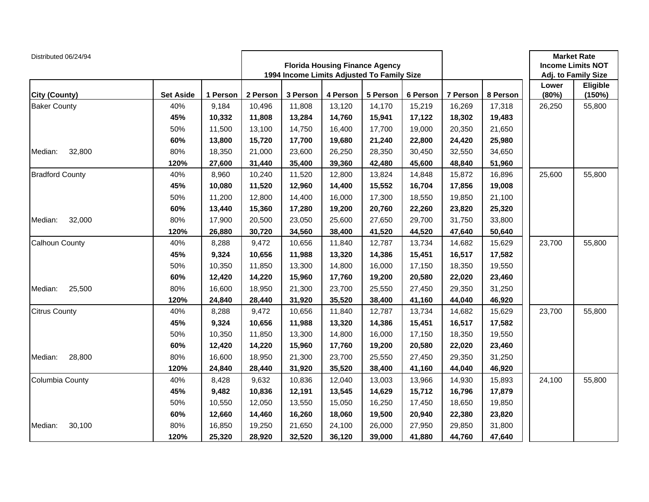| Distributed 06/24/94   |                  |          |          | <b>Florida Housing Finance Agency</b><br>1994 Income Limits Adjusted To Family Size |          |          |          |          | <b>Market Rate</b><br><b>Income Limits NOT</b><br>Adj. to Family Size |                |                    |
|------------------------|------------------|----------|----------|-------------------------------------------------------------------------------------|----------|----------|----------|----------|-----------------------------------------------------------------------|----------------|--------------------|
| City (County)          | <b>Set Aside</b> | 1 Person | 2 Person | 3 Person                                                                            | 4 Person | 5 Person | 6 Person | 7 Person | 8 Person                                                              | Lower<br>(80%) | Eligible<br>(150%) |
| <b>Baker County</b>    | 40%              | 9,184    | 10,496   | 11,808                                                                              | 13,120   | 14,170   | 15,219   | 16,269   | 17,318                                                                | 26,250         | 55,800             |
|                        | 45%              | 10,332   | 11,808   | 13,284                                                                              | 14,760   | 15,941   | 17,122   | 18,302   | 19,483                                                                |                |                    |
|                        | 50%              | 11,500   | 13,100   | 14,750                                                                              | 16,400   | 17,700   | 19,000   | 20,350   | 21,650                                                                |                |                    |
|                        | 60%              | 13,800   | 15,720   | 17,700                                                                              | 19,680   | 21,240   | 22,800   | 24,420   | 25,980                                                                |                |                    |
| 32,800<br>Median:      | 80%              | 18,350   | 21,000   | 23,600                                                                              | 26,250   | 28,350   | 30,450   | 32,550   | 34,650                                                                |                |                    |
|                        | 120%             | 27,600   | 31,440   | 35,400                                                                              | 39,360   | 42,480   | 45,600   | 48,840   | 51,960                                                                |                |                    |
| <b>Bradford County</b> | 40%              | 8,960    | 10,240   | 11,520                                                                              | 12,800   | 13,824   | 14,848   | 15,872   | 16,896                                                                | 25,600         | 55,800             |
|                        | 45%              | 10,080   | 11,520   | 12,960                                                                              | 14,400   | 15,552   | 16,704   | 17,856   | 19,008                                                                |                |                    |
|                        | 50%              | 11,200   | 12,800   | 14,400                                                                              | 16,000   | 17,300   | 18,550   | 19,850   | 21,100                                                                |                |                    |
|                        | 60%              | 13,440   | 15,360   | 17,280                                                                              | 19,200   | 20,760   | 22,260   | 23,820   | 25,320                                                                |                |                    |
| 32,000<br>Median:      | 80%              | 17,900   | 20,500   | 23,050                                                                              | 25,600   | 27,650   | 29,700   | 31,750   | 33,800                                                                |                |                    |
|                        | 120%             | 26,880   | 30,720   | 34,560                                                                              | 38,400   | 41,520   | 44,520   | 47,640   | 50,640                                                                |                |                    |
| Calhoun County         | 40%              | 8,288    | 9,472    | 10,656                                                                              | 11,840   | 12,787   | 13,734   | 14,682   | 15,629                                                                | 23,700         | 55,800             |
|                        | 45%              | 9,324    | 10,656   | 11,988                                                                              | 13,320   | 14,386   | 15,451   | 16,517   | 17,582                                                                |                |                    |
|                        | 50%              | 10,350   | 11,850   | 13,300                                                                              | 14,800   | 16,000   | 17,150   | 18,350   | 19,550                                                                |                |                    |
|                        | 60%              | 12,420   | 14,220   | 15,960                                                                              | 17,760   | 19,200   | 20,580   | 22,020   | 23,460                                                                |                |                    |
| 25,500<br>Median:      | 80%              | 16,600   | 18,950   | 21,300                                                                              | 23,700   | 25,550   | 27,450   | 29,350   | 31,250                                                                |                |                    |
|                        | 120%             | 24,840   | 28,440   | 31,920                                                                              | 35,520   | 38,400   | 41,160   | 44,040   | 46,920                                                                |                |                    |
| <b>Citrus County</b>   | 40%              | 8,288    | 9,472    | 10,656                                                                              | 11,840   | 12,787   | 13,734   | 14,682   | 15,629                                                                | 23,700         | 55,800             |
|                        | 45%              | 9,324    | 10,656   | 11,988                                                                              | 13,320   | 14,386   | 15,451   | 16,517   | 17,582                                                                |                |                    |
|                        | 50%              | 10,350   | 11,850   | 13,300                                                                              | 14,800   | 16,000   | 17,150   | 18,350   | 19,550                                                                |                |                    |
|                        | 60%              | 12,420   | 14,220   | 15,960                                                                              | 17,760   | 19,200   | 20,580   | 22,020   | 23,460                                                                |                |                    |
| 28,800<br>Median:      | 80%              | 16,600   | 18,950   | 21,300                                                                              | 23,700   | 25,550   | 27,450   | 29,350   | 31,250                                                                |                |                    |
|                        | 120%             | 24,840   | 28,440   | 31,920                                                                              | 35,520   | 38,400   | 41,160   | 44,040   | 46,920                                                                |                |                    |
| Columbia County        | 40%              | 8,428    | 9,632    | 10,836                                                                              | 12,040   | 13,003   | 13,966   | 14,930   | 15,893                                                                | 24,100         | 55,800             |
|                        | 45%              | 9,482    | 10,836   | 12,191                                                                              | 13,545   | 14,629   | 15,712   | 16,796   | 17,879                                                                |                |                    |
|                        | 50%              | 10,550   | 12,050   | 13,550                                                                              | 15,050   | 16,250   | 17,450   | 18,650   | 19,850                                                                |                |                    |
|                        | 60%              | 12,660   | 14,460   | 16,260                                                                              | 18,060   | 19,500   | 20,940   | 22,380   | 23,820                                                                |                |                    |
| 30,100<br>Median:      | 80%              | 16,850   | 19,250   | 21,650                                                                              | 24,100   | 26,000   | 27,950   | 29,850   | 31,800                                                                |                |                    |
|                        | 120%             | 25,320   | 28,920   | 32,520                                                                              | 36,120   | 39,000   | 41,880   | 44,760   | 47,640                                                                |                |                    |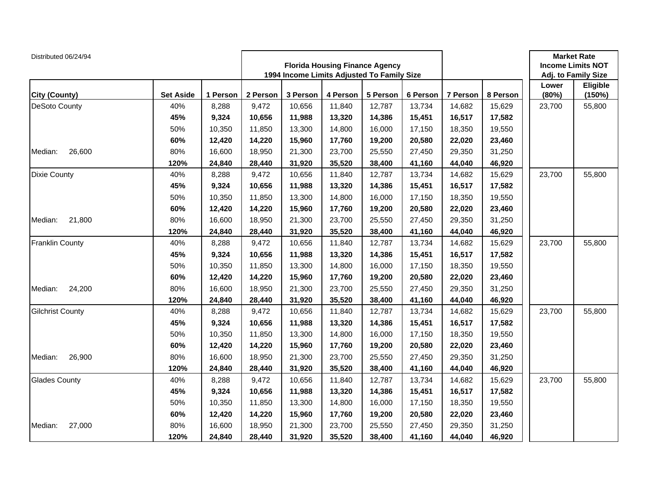| Distributed 06/24/94    |                  |          |          | <b>Florida Housing Finance Agency</b><br>1994 Income Limits Adjusted To Family Size |          |          |          |          | <b>Market Rate</b><br><b>Income Limits NOT</b><br>Adj. to Family Size |                |                    |
|-------------------------|------------------|----------|----------|-------------------------------------------------------------------------------------|----------|----------|----------|----------|-----------------------------------------------------------------------|----------------|--------------------|
| City (County)           | <b>Set Aside</b> | 1 Person | 2 Person | 3 Person                                                                            | 4 Person | 5 Person | 6 Person | 7 Person | 8 Person                                                              | Lower<br>(80%) | Eligible<br>(150%) |
| DeSoto County           | 40%              | 8,288    | 9,472    | 10,656                                                                              | 11,840   | 12,787   | 13,734   | 14,682   | 15,629                                                                | 23,700         | 55,800             |
|                         | 45%              | 9,324    | 10,656   | 11,988                                                                              | 13,320   | 14,386   | 15,451   | 16,517   | 17,582                                                                |                |                    |
|                         | 50%              | 10,350   | 11,850   | 13,300                                                                              | 14,800   | 16,000   | 17,150   | 18,350   | 19,550                                                                |                |                    |
|                         | 60%              | 12,420   | 14,220   | 15,960                                                                              | 17,760   | 19,200   | 20,580   | 22,020   | 23,460                                                                |                |                    |
| Median:<br>26,600       | 80%              | 16,600   | 18,950   | 21,300                                                                              | 23,700   | 25,550   | 27,450   | 29,350   | 31,250                                                                |                |                    |
|                         | 120%             | 24,840   | 28,440   | 31,920                                                                              | 35,520   | 38,400   | 41,160   | 44,040   | 46,920                                                                |                |                    |
| <b>Dixie County</b>     | 40%              | 8,288    | 9,472    | 10,656                                                                              | 11,840   | 12,787   | 13,734   | 14,682   | 15,629                                                                | 23,700         | 55,800             |
|                         | 45%              | 9,324    | 10,656   | 11,988                                                                              | 13,320   | 14,386   | 15,451   | 16,517   | 17,582                                                                |                |                    |
|                         | 50%              | 10,350   | 11,850   | 13,300                                                                              | 14,800   | 16,000   | 17,150   | 18,350   | 19,550                                                                |                |                    |
|                         | 60%              | 12,420   | 14,220   | 15,960                                                                              | 17,760   | 19,200   | 20,580   | 22,020   | 23,460                                                                |                |                    |
| 21,800<br>Median:       | 80%              | 16,600   | 18,950   | 21,300                                                                              | 23,700   | 25,550   | 27,450   | 29,350   | 31,250                                                                |                |                    |
|                         | 120%             | 24,840   | 28,440   | 31,920                                                                              | 35,520   | 38,400   | 41,160   | 44,040   | 46,920                                                                |                |                    |
| <b>Franklin County</b>  | 40%              | 8,288    | 9,472    | 10,656                                                                              | 11,840   | 12,787   | 13,734   | 14,682   | 15,629                                                                | 23,700         | 55,800             |
|                         | 45%              | 9,324    | 10,656   | 11,988                                                                              | 13,320   | 14,386   | 15,451   | 16,517   | 17,582                                                                |                |                    |
|                         | 50%              | 10,350   | 11,850   | 13,300                                                                              | 14,800   | 16,000   | 17,150   | 18,350   | 19,550                                                                |                |                    |
|                         | 60%              | 12,420   | 14,220   | 15,960                                                                              | 17,760   | 19,200   | 20,580   | 22,020   | 23,460                                                                |                |                    |
| Median:<br>24,200       | 80%              | 16,600   | 18,950   | 21,300                                                                              | 23,700   | 25,550   | 27,450   | 29,350   | 31,250                                                                |                |                    |
|                         | 120%             | 24,840   | 28,440   | 31,920                                                                              | 35,520   | 38,400   | 41,160   | 44,040   | 46,920                                                                |                |                    |
| <b>Gilchrist County</b> | 40%              | 8,288    | 9,472    | 10,656                                                                              | 11,840   | 12,787   | 13,734   | 14,682   | 15,629                                                                | 23,700         | 55,800             |
|                         | 45%              | 9,324    | 10,656   | 11,988                                                                              | 13,320   | 14,386   | 15,451   | 16,517   | 17,582                                                                |                |                    |
|                         | 50%              | 10,350   | 11,850   | 13,300                                                                              | 14,800   | 16,000   | 17,150   | 18,350   | 19,550                                                                |                |                    |
|                         | 60%              | 12,420   | 14,220   | 15,960                                                                              | 17,760   | 19,200   | 20,580   | 22,020   | 23,460                                                                |                |                    |
| 26,900<br>Median:       | 80%              | 16,600   | 18,950   | 21,300                                                                              | 23,700   | 25,550   | 27,450   | 29,350   | 31,250                                                                |                |                    |
|                         | 120%             | 24,840   | 28,440   | 31,920                                                                              | 35,520   | 38,400   | 41,160   | 44,040   | 46,920                                                                |                |                    |
| <b>Glades County</b>    | 40%              | 8,288    | 9,472    | 10,656                                                                              | 11,840   | 12,787   | 13,734   | 14,682   | 15,629                                                                | 23,700         | 55,800             |
|                         | 45%              | 9,324    | 10,656   | 11,988                                                                              | 13,320   | 14,386   | 15,451   | 16,517   | 17,582                                                                |                |                    |
|                         | 50%              | 10,350   | 11,850   | 13,300                                                                              | 14,800   | 16,000   | 17,150   | 18,350   | 19,550                                                                |                |                    |
|                         | 60%              | 12,420   | 14,220   | 15,960                                                                              | 17,760   | 19,200   | 20,580   | 22,020   | 23,460                                                                |                |                    |
| 27,000<br>Median:       | 80%              | 16,600   | 18,950   | 21,300                                                                              | 23,700   | 25,550   | 27,450   | 29,350   | 31,250                                                                |                |                    |
|                         | 120%             | 24,840   | 28,440   | 31,920                                                                              | 35,520   | 38,400   | 41,160   | 44,040   | 46,920                                                                |                |                    |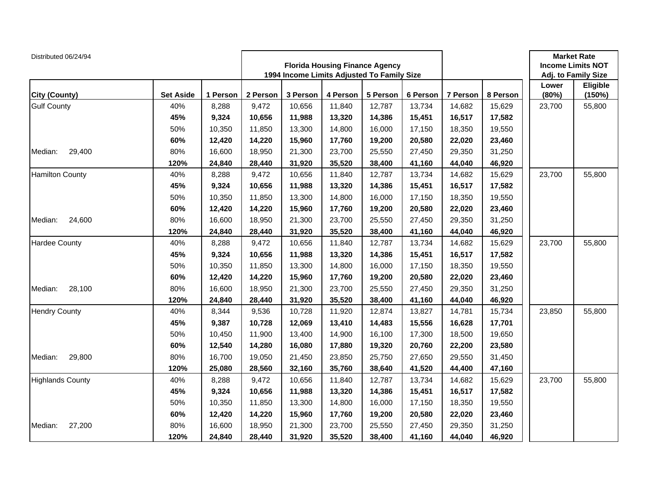| Distributed 06/24/94    |                  |          |          | <b>Florida Housing Finance Agency</b><br>1994 Income Limits Adjusted To Family Size |          |          |          |          | <b>Market Rate</b><br><b>Income Limits NOT</b><br>Adj. to Family Size |                |                    |
|-------------------------|------------------|----------|----------|-------------------------------------------------------------------------------------|----------|----------|----------|----------|-----------------------------------------------------------------------|----------------|--------------------|
| City (County)           | <b>Set Aside</b> | 1 Person | 2 Person | 3 Person                                                                            | 4 Person | 5 Person | 6 Person | 7 Person | 8 Person                                                              | Lower<br>(80%) | Eligible<br>(150%) |
| <b>Gulf County</b>      | 40%              | 8,288    | 9,472    | 10,656                                                                              | 11,840   | 12,787   | 13,734   | 14,682   | 15,629                                                                | 23,700         | 55,800             |
|                         | 45%              | 9,324    | 10,656   | 11,988                                                                              | 13,320   | 14,386   | 15,451   | 16,517   | 17,582                                                                |                |                    |
|                         | 50%              | 10,350   | 11,850   | 13,300                                                                              | 14,800   | 16,000   | 17,150   | 18,350   | 19,550                                                                |                |                    |
|                         | 60%              | 12,420   | 14,220   | 15,960                                                                              | 17,760   | 19,200   | 20,580   | 22,020   | 23,460                                                                |                |                    |
| Median:<br>29,400       | 80%              | 16,600   | 18,950   | 21,300                                                                              | 23,700   | 25,550   | 27,450   | 29,350   | 31,250                                                                |                |                    |
|                         | 120%             | 24,840   | 28,440   | 31,920                                                                              | 35,520   | 38,400   | 41,160   | 44,040   | 46,920                                                                |                |                    |
| <b>Hamilton County</b>  | 40%              | 8,288    | 9,472    | 10,656                                                                              | 11,840   | 12,787   | 13,734   | 14,682   | 15,629                                                                | 23,700         | 55,800             |
|                         | 45%              | 9,324    | 10,656   | 11,988                                                                              | 13,320   | 14,386   | 15,451   | 16,517   | 17,582                                                                |                |                    |
|                         | 50%              | 10,350   | 11,850   | 13,300                                                                              | 14,800   | 16,000   | 17,150   | 18,350   | 19,550                                                                |                |                    |
|                         | 60%              | 12,420   | 14,220   | 15,960                                                                              | 17,760   | 19,200   | 20,580   | 22,020   | 23,460                                                                |                |                    |
| 24,600<br>Median:       | 80%              | 16,600   | 18,950   | 21,300                                                                              | 23,700   | 25,550   | 27,450   | 29,350   | 31,250                                                                |                |                    |
|                         | 120%             | 24,840   | 28,440   | 31,920                                                                              | 35,520   | 38,400   | 41,160   | 44,040   | 46,920                                                                |                |                    |
| <b>Hardee County</b>    | 40%              | 8,288    | 9,472    | 10,656                                                                              | 11,840   | 12,787   | 13,734   | 14,682   | 15,629                                                                | 23,700         | 55,800             |
|                         | 45%              | 9,324    | 10,656   | 11,988                                                                              | 13,320   | 14,386   | 15,451   | 16,517   | 17,582                                                                |                |                    |
|                         | 50%              | 10,350   | 11,850   | 13,300                                                                              | 14,800   | 16,000   | 17,150   | 18,350   | 19,550                                                                |                |                    |
|                         | 60%              | 12,420   | 14,220   | 15,960                                                                              | 17,760   | 19,200   | 20,580   | 22,020   | 23,460                                                                |                |                    |
| Median:<br>28,100       | 80%              | 16,600   | 18,950   | 21,300                                                                              | 23,700   | 25,550   | 27,450   | 29,350   | 31,250                                                                |                |                    |
|                         | 120%             | 24,840   | 28,440   | 31,920                                                                              | 35,520   | 38,400   | 41,160   | 44,040   | 46,920                                                                |                |                    |
| <b>Hendry County</b>    | 40%              | 8,344    | 9,536    | 10,728                                                                              | 11,920   | 12,874   | 13,827   | 14,781   | 15,734                                                                | 23,850         | 55,800             |
|                         | 45%              | 9,387    | 10,728   | 12,069                                                                              | 13,410   | 14,483   | 15,556   | 16,628   | 17,701                                                                |                |                    |
|                         | 50%              | 10,450   | 11,900   | 13,400                                                                              | 14,900   | 16,100   | 17,300   | 18,500   | 19,650                                                                |                |                    |
|                         | 60%              | 12,540   | 14,280   | 16,080                                                                              | 17,880   | 19,320   | 20,760   | 22,200   | 23,580                                                                |                |                    |
| 29,800<br>Median:       | 80%              | 16,700   | 19,050   | 21,450                                                                              | 23,850   | 25,750   | 27,650   | 29,550   | 31,450                                                                |                |                    |
|                         | 120%             | 25,080   | 28,560   | 32,160                                                                              | 35,760   | 38,640   | 41,520   | 44,400   | 47,160                                                                |                |                    |
| <b>Highlands County</b> | 40%              | 8,288    | 9,472    | 10,656                                                                              | 11,840   | 12,787   | 13,734   | 14,682   | 15,629                                                                | 23,700         | 55,800             |
|                         | 45%              | 9,324    | 10,656   | 11,988                                                                              | 13,320   | 14,386   | 15,451   | 16,517   | 17,582                                                                |                |                    |
|                         | 50%              | 10,350   | 11,850   | 13,300                                                                              | 14,800   | 16,000   | 17,150   | 18,350   | 19,550                                                                |                |                    |
|                         | 60%              | 12,420   | 14,220   | 15,960                                                                              | 17,760   | 19,200   | 20,580   | 22,020   | 23,460                                                                |                |                    |
| 27,200<br>Median:       | 80%              | 16,600   | 18,950   | 21,300                                                                              | 23,700   | 25,550   | 27,450   | 29,350   | 31,250                                                                |                |                    |
|                         | 120%             | 24,840   | 28,440   | 31,920                                                                              | 35,520   | 38,400   | 41,160   | 44,040   | 46,920                                                                |                |                    |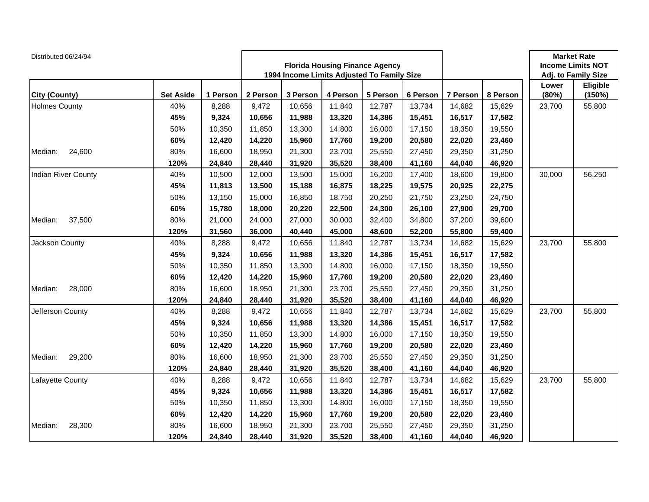| Distributed 06/24/94 |                  |          |          | <b>Florida Housing Finance Agency</b><br>1994 Income Limits Adjusted To Family Size |          |                |                    |        | <b>Market Rate</b><br><b>Income Limits NOT</b><br>Adj. to Family Size |        |        |
|----------------------|------------------|----------|----------|-------------------------------------------------------------------------------------|----------|----------------|--------------------|--------|-----------------------------------------------------------------------|--------|--------|
| <b>City (County)</b> | <b>Set Aside</b> | 1 Person | 2 Person | 3 Person                                                                            | 8 Person | Lower<br>(80%) | Eligible<br>(150%) |        |                                                                       |        |        |
| <b>Holmes County</b> | 40%              | 8,288    | 9,472    | 10,656                                                                              | 11,840   | 12,787         | 6 Person<br>13,734 | 14,682 | 15,629                                                                | 23,700 | 55,800 |
|                      | 45%              | 9,324    | 10,656   | 11,988                                                                              | 13,320   | 14,386         | 15,451             | 16,517 | 17,582                                                                |        |        |
|                      | 50%              | 10,350   | 11,850   | 13,300                                                                              | 14,800   | 16,000         | 17,150             | 18,350 | 19,550                                                                |        |        |
|                      | 60%              | 12,420   | 14,220   | 15,960                                                                              | 17,760   | 19,200         | 20,580             | 22,020 | 23,460                                                                |        |        |
| 24,600<br>Median:    | 80%              | 16,600   | 18,950   | 21,300                                                                              | 23,700   | 25,550         | 27,450             | 29,350 | 31,250                                                                |        |        |
|                      | 120%             | 24,840   | 28,440   | 31,920                                                                              | 35,520   | 38,400         | 41,160             | 44,040 | 46,920                                                                |        |        |
| Indian River County  | 40%              | 10,500   | 12,000   | 13,500                                                                              | 15,000   | 16,200         | 17,400             | 18,600 | 19,800                                                                | 30,000 | 56,250 |
|                      | 45%              | 11,813   | 13,500   | 15,188                                                                              | 16,875   | 18,225         | 19,575             | 20,925 | 22,275                                                                |        |        |
|                      | 50%              | 13,150   | 15,000   | 16,850                                                                              | 18,750   | 20,250         | 21,750             | 23,250 | 24,750                                                                |        |        |
|                      | 60%              | 15,780   | 18,000   | 20,220                                                                              | 22,500   | 24,300         | 26,100             | 27,900 | 29,700                                                                |        |        |
| 37,500<br>Median:    | 80%              | 21,000   | 24,000   | 27,000                                                                              | 30,000   | 32,400         | 34,800             | 37,200 | 39,600                                                                |        |        |
|                      | 120%             | 31,560   | 36,000   | 40,440                                                                              | 45,000   | 48,600         | 52,200             | 55,800 | 59,400                                                                |        |        |
| Jackson County       | 40%              | 8,288    | 9,472    | 10,656                                                                              | 11,840   | 12,787         | 13,734             | 14,682 | 15,629                                                                | 23,700 | 55,800 |
|                      | 45%              | 9,324    | 10,656   | 11,988                                                                              | 13,320   | 14,386         | 15,451             | 16,517 | 17,582                                                                |        |        |
|                      | 50%              | 10,350   | 11,850   | 13,300                                                                              | 14,800   | 16,000         | 17,150             | 18,350 | 19,550                                                                |        |        |
|                      | 60%              | 12,420   | 14,220   | 15,960                                                                              | 17,760   | 19,200         | 20,580             | 22,020 | 23,460                                                                |        |        |
| 28,000<br>Median:    | 80%              | 16,600   | 18,950   | 21,300                                                                              | 23,700   | 25,550         | 27,450             | 29,350 | 31,250                                                                |        |        |
|                      | 120%             | 24,840   | 28,440   | 31,920                                                                              | 35,520   | 38,400         | 41,160             | 44,040 | 46,920                                                                |        |        |
| Jefferson County     | 40%              | 8,288    | 9,472    | 10,656                                                                              | 11,840   | 12,787         | 13,734             | 14,682 | 15,629                                                                | 23,700 | 55,800 |
|                      | 45%              | 9,324    | 10,656   | 11,988                                                                              | 13,320   | 14,386         | 15,451             | 16,517 | 17,582                                                                |        |        |
|                      | 50%              | 10,350   | 11,850   | 13,300                                                                              | 14,800   | 16,000         | 17,150             | 18,350 | 19,550                                                                |        |        |
|                      | 60%              | 12,420   | 14,220   | 15,960                                                                              | 17,760   | 19,200         | 20,580             | 22,020 | 23,460                                                                |        |        |
| 29,200<br>Median:    | 80%              | 16,600   | 18,950   | 21,300                                                                              | 23,700   | 25,550         | 27,450             | 29,350 | 31,250                                                                |        |        |
|                      | 120%             | 24,840   | 28,440   | 31,920                                                                              | 35,520   | 38,400         | 41,160             | 44,040 | 46,920                                                                |        |        |
| Lafayette County     | 40%              | 8,288    | 9,472    | 10,656                                                                              | 11,840   | 12,787         | 13,734             | 14,682 | 15,629                                                                | 23,700 | 55,800 |
|                      | 45%              | 9,324    | 10,656   | 11,988                                                                              | 13,320   | 14,386         | 15,451             | 16,517 | 17,582                                                                |        |        |
|                      | 50%              | 10,350   | 11,850   | 13,300                                                                              | 14,800   | 16,000         | 17,150             | 18,350 | 19,550                                                                |        |        |
|                      | 60%              | 12,420   | 14,220   | 15,960                                                                              | 17,760   | 19,200         | 20,580             | 22,020 | 23,460                                                                |        |        |
| 28,300<br>Median:    | 80%              | 16,600   | 18,950   | 21,300                                                                              | 23,700   | 25,550         | 27,450             | 29,350 | 31,250                                                                |        |        |
|                      | 120%             | 24,840   | 28,440   | 31,920                                                                              | 35,520   | 38,400         | 41,160             | 44,040 | 46,920                                                                |        |        |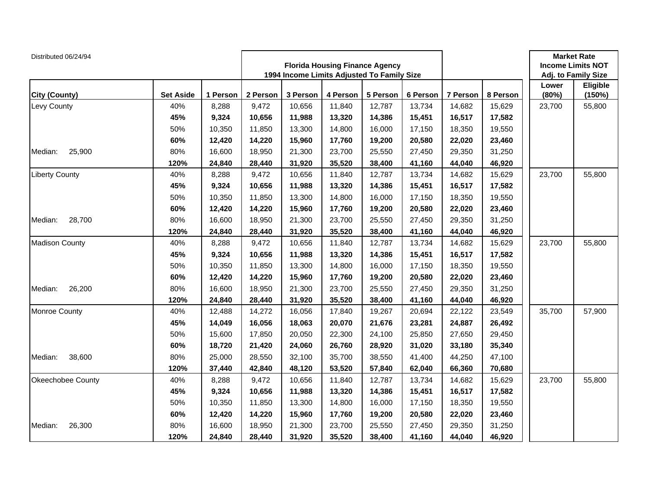| Distributed 06/24/94  |                  |          |          | <b>Florida Housing Finance Agency</b><br>1994 Income Limits Adjusted To Family Size |          |          |          |          | <b>Market Rate</b><br><b>Income Limits NOT</b><br>Adj. to Family Size |                |                    |
|-----------------------|------------------|----------|----------|-------------------------------------------------------------------------------------|----------|----------|----------|----------|-----------------------------------------------------------------------|----------------|--------------------|
| <b>City (County)</b>  | <b>Set Aside</b> | 1 Person | 2 Person | 3 Person                                                                            | 4 Person | 5 Person | 6 Person | 7 Person | 8 Person                                                              | Lower<br>(80%) | Eligible<br>(150%) |
| Levy County           | 40%              | 8,288    | 9,472    | 10,656                                                                              | 11,840   | 12,787   | 13,734   | 14,682   | 15,629                                                                | 23,700         | 55,800             |
|                       | 45%              | 9,324    | 10,656   | 11,988                                                                              | 13,320   | 14,386   | 15,451   | 16,517   | 17,582                                                                |                |                    |
|                       | 50%              | 10,350   | 11,850   | 13,300                                                                              | 14,800   | 16,000   | 17,150   | 18,350   | 19,550                                                                |                |                    |
|                       | 60%              | 12,420   | 14,220   | 15,960                                                                              | 17,760   | 19,200   | 20,580   | 22,020   | 23,460                                                                |                |                    |
| 25,900<br>Median:     | 80%              | 16,600   | 18,950   | 21,300                                                                              | 23,700   | 25,550   | 27,450   | 29,350   | 31,250                                                                |                |                    |
|                       | 120%             | 24,840   | 28,440   | 31,920                                                                              | 35,520   | 38,400   | 41,160   | 44,040   | 46,920                                                                |                |                    |
| <b>Liberty County</b> | 40%              | 8,288    | 9,472    | 10,656                                                                              | 11,840   | 12,787   | 13,734   | 14,682   | 15,629                                                                | 23,700         | 55,800             |
|                       | 45%              | 9,324    | 10,656   | 11,988                                                                              | 13,320   | 14,386   | 15,451   | 16,517   | 17,582                                                                |                |                    |
|                       | 50%              | 10,350   | 11,850   | 13,300                                                                              | 14,800   | 16,000   | 17,150   | 18,350   | 19,550                                                                |                |                    |
|                       | 60%              | 12,420   | 14,220   | 15,960                                                                              | 17,760   | 19,200   | 20,580   | 22,020   | 23,460                                                                |                |                    |
| 28,700<br>Median:     | 80%              | 16,600   | 18,950   | 21,300                                                                              | 23,700   | 25,550   | 27,450   | 29,350   | 31,250                                                                |                |                    |
|                       | 120%             | 24,840   | 28,440   | 31,920                                                                              | 35,520   | 38,400   | 41,160   | 44,040   | 46,920                                                                |                |                    |
| <b>Madison County</b> | 40%              | 8,288    | 9,472    | 10,656                                                                              | 11,840   | 12,787   | 13,734   | 14,682   | 15,629                                                                | 23,700         | 55,800             |
|                       | 45%              | 9,324    | 10,656   | 11,988                                                                              | 13,320   | 14,386   | 15,451   | 16,517   | 17,582                                                                |                |                    |
|                       | 50%              | 10,350   | 11,850   | 13,300                                                                              | 14,800   | 16,000   | 17,150   | 18,350   | 19,550                                                                |                |                    |
|                       | 60%              | 12,420   | 14,220   | 15,960                                                                              | 17,760   | 19,200   | 20,580   | 22,020   | 23,460                                                                |                |                    |
| Median:<br>26,200     | 80%              | 16,600   | 18,950   | 21,300                                                                              | 23,700   | 25,550   | 27,450   | 29,350   | 31,250                                                                |                |                    |
|                       | 120%             | 24,840   | 28,440   | 31,920                                                                              | 35,520   | 38,400   | 41,160   | 44,040   | 46,920                                                                |                |                    |
| <b>Monroe County</b>  | 40%              | 12,488   | 14,272   | 16,056                                                                              | 17,840   | 19,267   | 20,694   | 22,122   | 23,549                                                                | 35,700         | 57,900             |
|                       | 45%              | 14,049   | 16,056   | 18,063                                                                              | 20,070   | 21,676   | 23,281   | 24,887   | 26,492                                                                |                |                    |
|                       | 50%              | 15,600   | 17,850   | 20,050                                                                              | 22,300   | 24,100   | 25,850   | 27,650   | 29,450                                                                |                |                    |
|                       | 60%              | 18,720   | 21,420   | 24,060                                                                              | 26,760   | 28,920   | 31,020   | 33,180   | 35,340                                                                |                |                    |
| 38,600<br>Median:     | 80%              | 25,000   | 28,550   | 32,100                                                                              | 35,700   | 38,550   | 41,400   | 44,250   | 47,100                                                                |                |                    |
|                       | 120%             | 37,440   | 42,840   | 48,120                                                                              | 53,520   | 57,840   | 62,040   | 66,360   | 70,680                                                                |                |                    |
| Okeechobee County     | 40%              | 8,288    | 9,472    | 10,656                                                                              | 11,840   | 12,787   | 13,734   | 14,682   | 15,629                                                                | 23,700         | 55,800             |
|                       | 45%              | 9,324    | 10,656   | 11,988                                                                              | 13,320   | 14,386   | 15,451   | 16,517   | 17,582                                                                |                |                    |
|                       | 50%              | 10,350   | 11,850   | 13,300                                                                              | 14,800   | 16,000   | 17,150   | 18,350   | 19,550                                                                |                |                    |
|                       | 60%              | 12,420   | 14,220   | 15,960                                                                              | 17,760   | 19,200   | 20,580   | 22,020   | 23,460                                                                |                |                    |
| 26,300<br>Median:     | 80%              | 16,600   | 18,950   | 21,300                                                                              | 23,700   | 25,550   | 27,450   | 29,350   | 31,250                                                                |                |                    |
|                       | 120%             | 24,840   | 28,440   | 31,920                                                                              | 35,520   | 38,400   | 41,160   | 44,040   | 46,920                                                                |                |                    |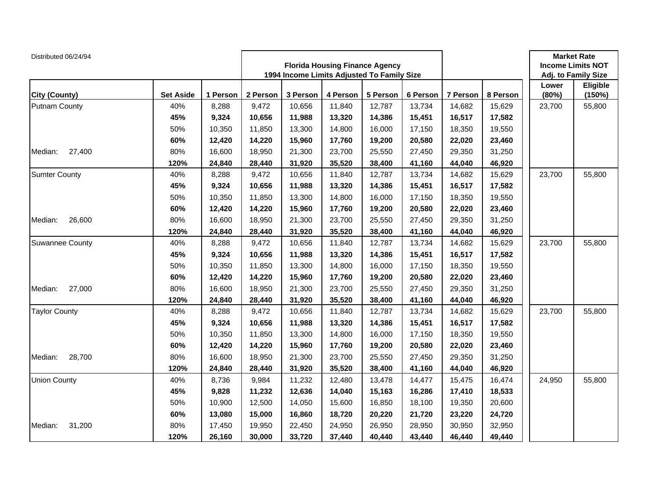| Distributed 06/24/94 |                  |          |          | <b>Florida Housing Finance Agency</b><br>1994 Income Limits Adjusted To Family Size |          |          |          |          | <b>Market Rate</b><br><b>Income Limits NOT</b><br>Adj. to Family Size |                |                    |
|----------------------|------------------|----------|----------|-------------------------------------------------------------------------------------|----------|----------|----------|----------|-----------------------------------------------------------------------|----------------|--------------------|
| City (County)        | <b>Set Aside</b> | 1 Person | 2 Person | 3 Person                                                                            | 4 Person | 5 Person | 6 Person | 7 Person | 8 Person                                                              | Lower<br>(80%) | Eligible<br>(150%) |
| <b>Putnam County</b> | 40%              | 8,288    | 9,472    | 10,656                                                                              | 11,840   | 12,787   | 13,734   | 14,682   | 15,629                                                                | 23,700         | 55,800             |
|                      | 45%              | 9,324    | 10,656   | 11,988                                                                              | 13,320   | 14,386   | 15,451   | 16,517   | 17,582                                                                |                |                    |
|                      | 50%              | 10,350   | 11,850   | 13,300                                                                              | 14,800   | 16,000   | 17,150   | 18,350   | 19,550                                                                |                |                    |
|                      | 60%              | 12,420   | 14,220   | 15,960                                                                              | 17,760   | 19,200   | 20,580   | 22,020   | 23,460                                                                |                |                    |
| Median:<br>27,400    | 80%              | 16,600   | 18,950   | 21,300                                                                              | 23,700   | 25,550   | 27,450   | 29,350   | 31,250                                                                |                |                    |
|                      | 120%             | 24,840   | 28,440   | 31,920                                                                              | 35,520   | 38,400   | 41,160   | 44,040   | 46,920                                                                |                |                    |
| <b>Sumter County</b> | 40%              | 8,288    | 9,472    | 10,656                                                                              | 11,840   | 12,787   | 13,734   | 14,682   | 15,629                                                                | 23,700         | 55,800             |
|                      | 45%              | 9,324    | 10,656   | 11,988                                                                              | 13,320   | 14,386   | 15,451   | 16,517   | 17,582                                                                |                |                    |
|                      | 50%              | 10,350   | 11,850   | 13,300                                                                              | 14,800   | 16,000   | 17,150   | 18,350   | 19,550                                                                |                |                    |
|                      | 60%              | 12,420   | 14,220   | 15,960                                                                              | 17,760   | 19,200   | 20,580   | 22,020   | 23,460                                                                |                |                    |
| 26,600<br>Median:    | 80%              | 16,600   | 18,950   | 21,300                                                                              | 23,700   | 25,550   | 27,450   | 29,350   | 31,250                                                                |                |                    |
|                      | 120%             | 24,840   | 28,440   | 31,920                                                                              | 35,520   | 38,400   | 41,160   | 44,040   | 46,920                                                                |                |                    |
| Suwannee County      | 40%              | 8,288    | 9,472    | 10,656                                                                              | 11,840   | 12,787   | 13,734   | 14,682   | 15,629                                                                | 23,700         | 55,800             |
|                      | 45%              | 9,324    | 10,656   | 11,988                                                                              | 13,320   | 14,386   | 15,451   | 16,517   | 17,582                                                                |                |                    |
|                      | 50%              | 10,350   | 11,850   | 13,300                                                                              | 14,800   | 16,000   | 17,150   | 18,350   | 19,550                                                                |                |                    |
|                      | 60%              | 12,420   | 14,220   | 15,960                                                                              | 17,760   | 19,200   | 20,580   | 22,020   | 23,460                                                                |                |                    |
| 27,000<br>Median:    | 80%              | 16,600   | 18,950   | 21,300                                                                              | 23,700   | 25,550   | 27,450   | 29,350   | 31,250                                                                |                |                    |
|                      | 120%             | 24,840   | 28,440   | 31,920                                                                              | 35,520   | 38,400   | 41,160   | 44,040   | 46,920                                                                |                |                    |
| <b>Taylor County</b> | 40%              | 8,288    | 9,472    | 10,656                                                                              | 11,840   | 12,787   | 13,734   | 14,682   | 15,629                                                                | 23,700         | 55,800             |
|                      | 45%              | 9,324    | 10,656   | 11,988                                                                              | 13,320   | 14,386   | 15,451   | 16,517   | 17,582                                                                |                |                    |
|                      | 50%              | 10,350   | 11,850   | 13,300                                                                              | 14,800   | 16,000   | 17,150   | 18,350   | 19,550                                                                |                |                    |
|                      | 60%              | 12,420   | 14,220   | 15,960                                                                              | 17,760   | 19,200   | 20,580   | 22,020   | 23,460                                                                |                |                    |
| Median:<br>28,700    | 80%              | 16,600   | 18,950   | 21,300                                                                              | 23,700   | 25,550   | 27,450   | 29,350   | 31,250                                                                |                |                    |
|                      | 120%             | 24,840   | 28,440   | 31,920                                                                              | 35,520   | 38,400   | 41,160   | 44,040   | 46,920                                                                |                |                    |
| <b>Union County</b>  | 40%              | 8,736    | 9,984    | 11,232                                                                              | 12,480   | 13,478   | 14,477   | 15,475   | 16,474                                                                | 24,950         | 55,800             |
|                      | 45%              | 9,828    | 11,232   | 12,636                                                                              | 14,040   | 15,163   | 16,286   | 17,410   | 18,533                                                                |                |                    |
|                      | 50%              | 10,900   | 12,500   | 14,050                                                                              | 15,600   | 16,850   | 18,100   | 19,350   | 20,600                                                                |                |                    |
|                      | 60%              | 13,080   | 15,000   | 16,860                                                                              | 18,720   | 20,220   | 21,720   | 23,220   | 24,720                                                                |                |                    |
| 31,200<br>Median:    | 80%              | 17,450   | 19,950   | 22,450                                                                              | 24,950   | 26,950   | 28,950   | 30,950   | 32,950                                                                |                |                    |
|                      | 120%             | 26,160   | 30,000   | 33,720                                                                              | 37,440   | 40,440   | 43,440   | 46,440   | 49,440                                                                |                |                    |